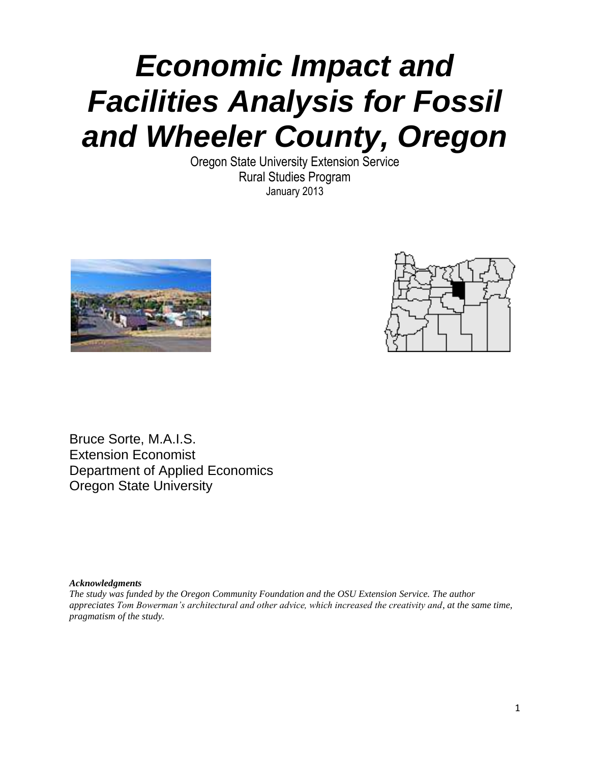# **Economic Impact and Facilities Analysis for Fossil and Wheeler County, Oregon**

Oregon State University Extension Service Rural Studies Program January 2013





Bruce Sorte, M.A.I.S. Extension Economist Department of Applied Economics Oregon State University

*Acknowledgments*

*The study was funded by the Oregon Community Foundation and the OSU Extension Service. The author appreciates Tom Bowerman's architectural and other advice, which increased the creativity and, at the same time, pragmatism of the study.*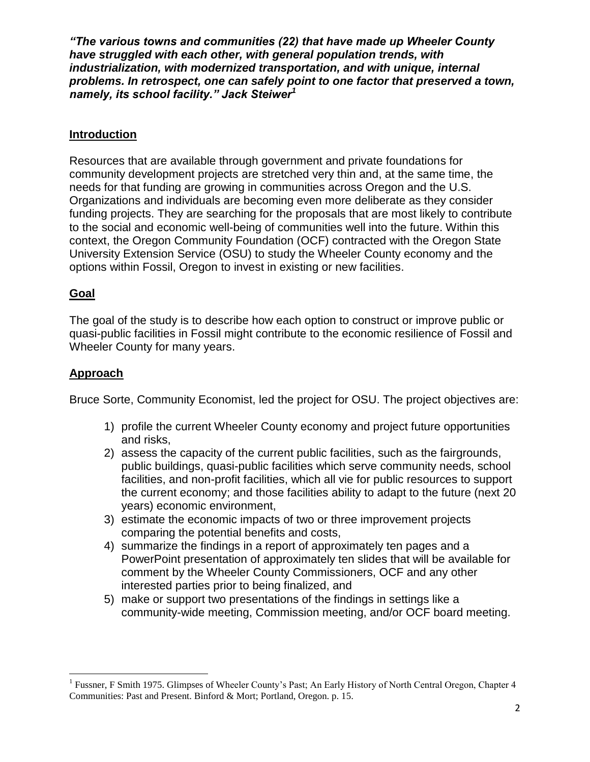*"The various towns and communities (22) that have made up Wheeler County*  **have struggled with each other, with general population trends, with industrialization, with modernized transportation, and with unique, internal problems. In retrospect, one can safely point to one factor that preserved a town,**  *namely, its school facility." Jack Steiwer***<sup>1</sup>**

## **Introduction**

Resources that are available through government and private foundations for community development projects are stretched very thin and, at the same time, the needs for that funding are growing in communities across Oregon and the U.S. Organizations and individuals are becoming even more deliberate as they consider funding projects. They are searching for the proposals that are most likely to contribute to the social and economic well-being of communities well into the future. Within this context, the Oregon Community Foundation (OCF) contracted with the Oregon State University Extension Service (OSU) to study the Wheeler County economy and the options within Fossil, Oregon to invest in existing or new facilities.

## **Goal**

The goal of the study is to describe how each option to construct or improve public or quasi-public facilities in Fossil might contribute to the economic resilience of Fossil and Wheeler County for many years.

#### **Approach**

 $\overline{a}$ 

Bruce Sorte, Community Economist, led the project for OSU. The project objectives are:

- 1) profile the current Wheeler County economy and project future opportunities and risks,
- 2) assess the capacity of the current public facilities, such as the fairgrounds, public buildings, quasi-public facilities which serve community needs, school facilities, and non-profit facilities, which all vie for public resources to support the current economy; and those facilities ability to adapt to the future (next 20 years) economic environment,
- 3) estimate the economic impacts of two or three improvement projects comparing the potential benefits and costs,
- 4) summarize the findings in a report of approximately ten pages and a PowerPoint presentation of approximately ten slides that will be available for comment by the Wheeler County Commissioners, OCF and any other interested parties prior to being finalized, and
- 5) make or support two presentations of the findings in settings like a community-wide meeting, Commission meeting, and/or OCF board meeting.

<sup>&</sup>lt;sup>1</sup> Fussner, F Smith 1975. Glimpses of Wheeler County's Past; An Early History of North Central Oregon, Chapter 4 Communities: Past and Present. Binford & Mort; Portland, Oregon. p. 15.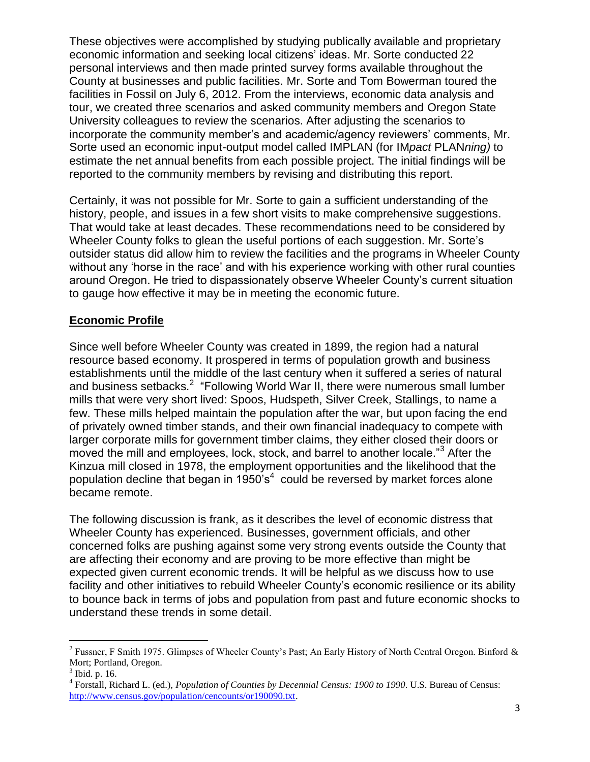These objectives were accomplished by studying publically available and proprietary economic information and seeking local citizens' ideas. Mr. Sorte conducted 22 personal interviews and then made printed survey forms available throughout the County at businesses and public facilities. Mr. Sorte and Tom Bowerman toured the facilities in Fossil on July 6, 2012. From the interviews, economic data analysis and tour, we created three scenarios and asked community members and Oregon State University colleagues to review the scenarios. After adjusting the scenarios to incorporate the community member's and academic/agency reviewers' comments, Mr. Sorte used an economic input-output model called IMPLAN (for IMpact PLANning) to estimate the net annual benefits from each possible project. The initial findings will be reported to the community members by revising and distributing this report.

Certainly, it was not possible for Mr. Sorte to gain a sufficient understanding of the history, people, and issues in a few short visits to make comprehensive suggestions. That would take at least decades. These recommendations need to be considered by Wheeler County folks to glean the useful portions of each suggestion. Mr. Sorte's outsider status did allow him to review the facilities and the programs in Wheeler County without any 'horse in the race' and with his experience working with other rural counties around Oregon. He tried to dispassionately observe Wheeler County's current situation to gauge how effective it may be in meeting the economic future.

## **Economic Profile**

Since well before Wheeler County was created in 1899, the region had a natural resource based economy. It prospered in terms of population growth and business establishments until the middle of the last century when it suffered a series of natural and business setbacks.<sup>2</sup> "Following World War II, there were numerous small lumber mills that were very short lived: Spoos, Hudspeth, Silver Creek, Stallings, to name a few. These mills helped maintain the population after the war, but upon facing the end of privately owned timber stands, and their own financial inadequacy to compete with larger corporate mills for government timber claims, they either closed their doors or moved the mill and employees, lock, stock, and barrel to another locale."<sup>3</sup> After the Kinzua mill closed in 1978, the employment opportunities and the likelihood that the population decline that began in 1950's<sup>4</sup> could be reversed by market forces alone became remote.

The following discussion is frank, as it describes the level of economic distress that Wheeler County has experienced. Businesses, government officials, and other concerned folks are pushing against some very strong events outside the County that are affecting their economy and are proving to be more effective than might be expected given current economic trends. It will be helpful as we discuss how to use facility and other initiatives to rebuild Wheeler County's economic resilience or its ability to bounce back in terms of jobs and population from past and future economic shocks to understand these trends in some detail.

<sup>&</sup>lt;sup>2</sup> Fussner, F Smith 1975. Glimpses of Wheeler County's Past; An Early History of North Central Oregon. Binford & Mort; Portland, Oregon.

<sup>&</sup>lt;sup>3</sup> Ibid. p. 16.

<sup>4</sup> Forstall, Richard L. (ed.), *Population of Counties by Decennial Census: 1900 to 1990*. U.S. Bureau of Census: [http://www.census.gov/population/cencounts/or190090.txt.](http://www.census.gov/population/cencounts/or190090.txt)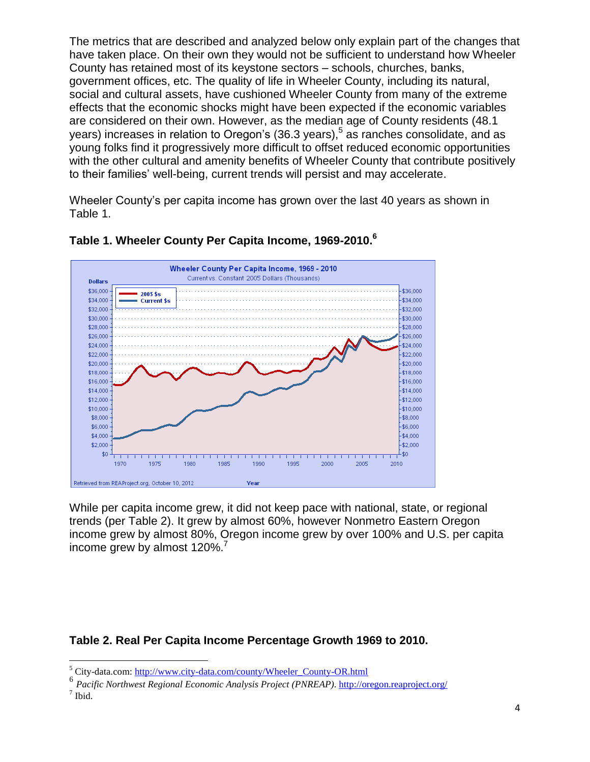The metrics that are described and analyzed below only explain part of the changes that have taken place. On their own they would not be sufficient to understand how Wheeler County has retained most of its keystone sectors – schools, churches, banks, government offices, etc. The quality of life in Wheeler County, including its natural, social and cultural assets, have cushioned Wheeler County from many of the extreme effects that the economic shocks might have been expected if the economic variables are considered on their own. However, as the median age of County residents (48.1 years) increases in relation to Oregon's (36.3 years),  $5$  as ranches consolidate, and as young folks find it progressively more difficult to offset reduced economic opportunities with the other cultural and amenity benefits of Wheeler County that contribute positively to their families' well-being, current trends will persist and may accelerate.

Wheeler County's per capita income has grown over the last 40 years as shown in Table 1.



## **Table 1. Wheeler County Per Capita Income, 1969-2010.<sup>6</sup>**

While per capita income grew, it did not keep pace with national, state, or regional trends (per Table 2). It grew by almost 60%, however Nonmetro Eastern Oregon income grew by almost 80%, Oregon income grew by over 100% and U.S. per capita income grew by almost 120%.<sup>7</sup>

# **Table 2. Real Per Capita Income Percentage Growth 1969 to 2010.**

 $\overline{a}$ <sup>5</sup> City-data.com: [http://www.city-data.com/county/Wheeler\\_County-OR.html](http://www.city-data.com/county/Wheeler_County-OR.html)

<sup>&</sup>lt;sup>6</sup> Pacific Northwest Regional Economic Analysis Project (PNREAP)[. http://oregon.reaproject.org/](http://oregon.reaproject.org/)

 $<sup>7</sup>$  Ibid.</sup>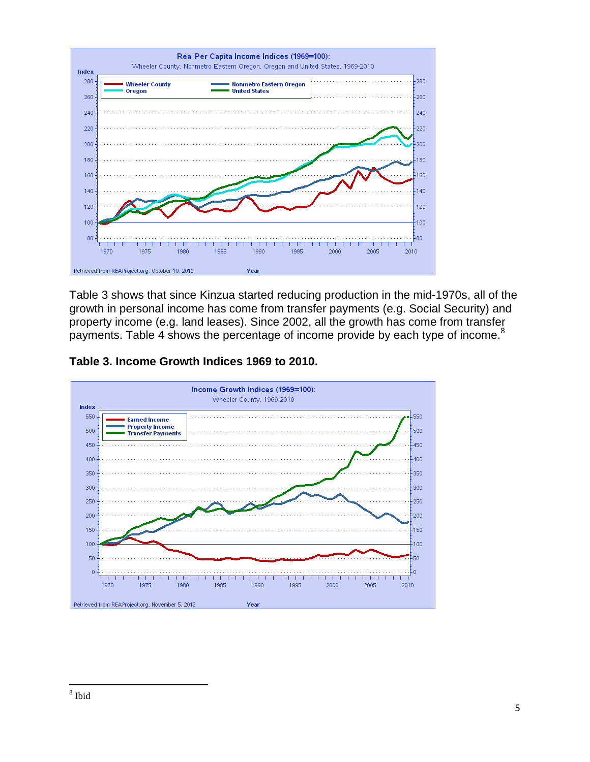

Table 3 shows that since Kinzua started reducing production in the mid-1970s, all of the growth in personal income has come from transfer payments (e.g. Social Security) and property income (e.g. land leases). Since 2002, all the growth has come from transfer payments. Table 4 shows the percentage of income provide by each type of income.<sup>8</sup>

**Table 3. Income Growth Indices 1969 to 2010.**

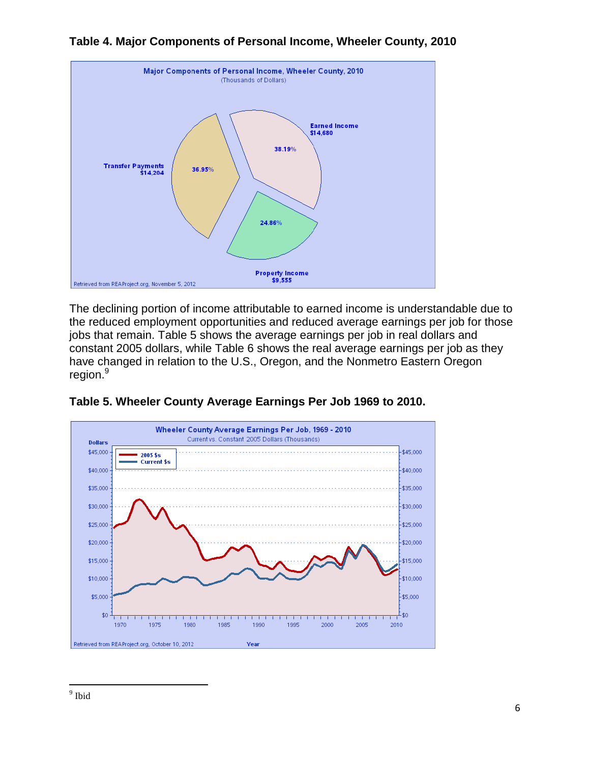

# **Table 4. Major Components of Personal Income, Wheeler County, 2010**

The declining portion of income attributable to earned income is understandable due to the reduced employment opportunities and reduced average earnings per job for those jobs that remain. Table 5 shows the average earnings per job in real dollars and constant 2005 dollars, while Table 6 shows the real average earnings per job as they have changed in relation to the U.S., Oregon, and the Nonmetro Eastern Oregon region.<sup>9</sup>



## **Table 5. Wheeler County Average Earnings Per Job 1969 to 2010.**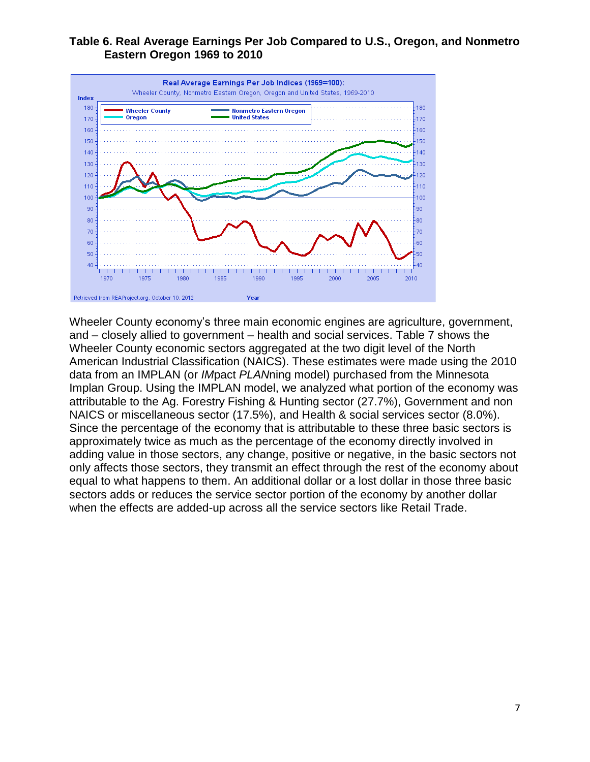#### **Table 6. Real Average Earnings Per Job Compared to U.S., Oregon, and Nonmetro Eastern Oregon 1969 to 2010**



Wheeler County economy's three main economic engines are agriculture, government, and – closely allied to government – health and social services. Table 7 shows the Wheeler County economic sectors aggregated at the two digit level of the North American Industrial Classification (NAICS). These estimates were made using the 2010 data from an IMPLAN (or IMpact PLANning model) purchased from the Minnesota Implan Group. Using the IMPLAN model, we analyzed what portion of the economy was attributable to the Ag. Forestry Fishing & Hunting sector (27.7%), Government and non NAICS or miscellaneous sector (17.5%), and Health & social services sector (8.0%). Since the percentage of the economy that is attributable to these three basic sectors is approximately twice as much as the percentage of the economy directly involved in adding value in those sectors, any change, positive or negative, in the basic sectors not only affects those sectors, they transmit an effect through the rest of the economy about equal to what happens to them. An additional dollar or a lost dollar in those three basic sectors adds or reduces the service sector portion of the economy by another dollar when the effects are added-up across all the service sectors like Retail Trade.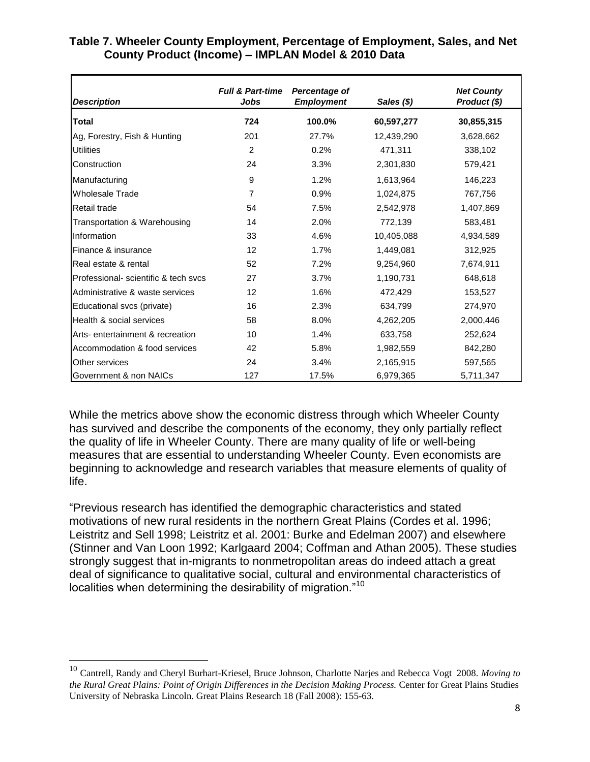| <b>Description</b>                                                                                                                                                                                                                                                                                                                                                                                                                                                                                                                                                                                                   | <b>Full &amp; Part-time</b><br>Jobs | Percentage of<br><b>Employment</b> | Sales (\$) | <b>Net County</b><br>Product (\$) |
|----------------------------------------------------------------------------------------------------------------------------------------------------------------------------------------------------------------------------------------------------------------------------------------------------------------------------------------------------------------------------------------------------------------------------------------------------------------------------------------------------------------------------------------------------------------------------------------------------------------------|-------------------------------------|------------------------------------|------------|-----------------------------------|
| Total                                                                                                                                                                                                                                                                                                                                                                                                                                                                                                                                                                                                                | 724                                 | 100.0%                             | 60,597,277 | 30,855,315                        |
| Ag, Forestry, Fish & Hunting                                                                                                                                                                                                                                                                                                                                                                                                                                                                                                                                                                                         | 201                                 | 27.7%                              | 12,439,290 | 3,628,662                         |
| <b>Utilities</b>                                                                                                                                                                                                                                                                                                                                                                                                                                                                                                                                                                                                     | 2                                   | 0.2%                               | 471,311    | 338,102                           |
| Construction                                                                                                                                                                                                                                                                                                                                                                                                                                                                                                                                                                                                         | 24                                  | 3.3%                               | 2,301,830  | 579,421                           |
| Manufacturing                                                                                                                                                                                                                                                                                                                                                                                                                                                                                                                                                                                                        | 9                                   | 1.2%                               | 1,613,964  | 146,223                           |
| <b>Wholesale Trade</b>                                                                                                                                                                                                                                                                                                                                                                                                                                                                                                                                                                                               | $\overline{7}$                      | 0.9%                               | 1,024,875  | 767,756                           |
| Retail trade                                                                                                                                                                                                                                                                                                                                                                                                                                                                                                                                                                                                         | 54                                  | 7.5%                               | 2,542,978  | 1,407,869                         |
| Transportation & Warehousing                                                                                                                                                                                                                                                                                                                                                                                                                                                                                                                                                                                         | 14                                  | 2.0%                               | 772,139    | 583,481                           |
| Information                                                                                                                                                                                                                                                                                                                                                                                                                                                                                                                                                                                                          | 33                                  | 4.6%                               | 10,405,088 | 4,934,589                         |
| Finance & insurance                                                                                                                                                                                                                                                                                                                                                                                                                                                                                                                                                                                                  | 12                                  | 1.7%                               | 1,449,081  | 312,925                           |
| Real estate & rental                                                                                                                                                                                                                                                                                                                                                                                                                                                                                                                                                                                                 | 52                                  | 7.2%                               | 9,254,960  | 7,674,911                         |
| Professional- scientific & tech svcs                                                                                                                                                                                                                                                                                                                                                                                                                                                                                                                                                                                 | 27                                  | 3.7%                               | 1,190,731  | 648,618                           |
| Administrative & waste services                                                                                                                                                                                                                                                                                                                                                                                                                                                                                                                                                                                      | 12                                  | 1.6%                               | 472,429    | 153,527                           |
| Educational svcs (private)                                                                                                                                                                                                                                                                                                                                                                                                                                                                                                                                                                                           | 16                                  | 2.3%                               | 634,799    | 274,970                           |
| Health & social services                                                                                                                                                                                                                                                                                                                                                                                                                                                                                                                                                                                             | 58                                  | 8.0%                               | 4,262,205  | 2,000,446                         |
| Arts- entertainment & recreation                                                                                                                                                                                                                                                                                                                                                                                                                                                                                                                                                                                     | 10                                  | 1.4%                               | 633,758    | 252,624                           |
| Accommodation & food services                                                                                                                                                                                                                                                                                                                                                                                                                                                                                                                                                                                        | 42                                  | 5.8%                               | 1,982,559  | 842,280                           |
| Other services                                                                                                                                                                                                                                                                                                                                                                                                                                                                                                                                                                                                       | 24                                  | 3.4%                               | 2,165,915  | 597,565                           |
| Government & non NAICs                                                                                                                                                                                                                                                                                                                                                                                                                                                                                                                                                                                               | 127                                 | 17.5%                              | 6,979,365  | 5,711,347                         |
| has survived and describe the components of the economy, they only partially reflect<br>the quality of life in Wheeler County. There are many quality of life or well-being<br>measures that are essential to understanding Wheeler County. Even economists are<br>beginning to acknowledge and research variables that measure elements of quality of<br>life.                                                                                                                                                                                                                                                      |                                     |                                    |            |                                   |
| "Previous research has identified the demographic characteristics and stated<br>motivations of new rural residents in the northern Great Plains (Cordes et al. 1996;<br>Leistritz and Sell 1998; Leistritz et al. 2001: Burke and Edelman 2007) and elsewhere<br>(Stinner and Van Loon 1992; Karlgaard 2004; Coffman and Athan 2005). These studies<br>strongly suggest that in-migrants to nonmetropolitan areas do indeed attach a great<br>deal of significance to qualitative social, cultural and environmental characteristics of<br>localities when determining the desirability of migration." <sup>10</sup> |                                     |                                    |            |                                   |
| <sup>10</sup> Cantrell, Randy and Cheryl Burhart-Kriesel, Bruce Johnson, Charlotte Narjes and Rebecca Vogt 2008. Moving to<br>the Rural Great Plains: Point of Origin Differences in the Decision Making Process. Center for Great Plains Studies<br>University of Nebraska Lincoln. Great Plains Research 18 (Fall 2008): 155-63.                                                                                                                                                                                                                                                                                   |                                     |                                    |            |                                   |

#### **Table 7. Wheeler County Employment, Percentage of Employment, Sales, and Net County Product (Income) – IMPLAN Model & 2010 Data**

<sup>10</sup> Cantrell, Randy and Cheryl Burhart-Kriesel, Bruce Johnson, Charlotte Narjes and Rebecca Vogt 2008. *Moving to the Rural Great Plains: Point of Origin Differences in the Decision Making Process.* Center for Great Plains Studies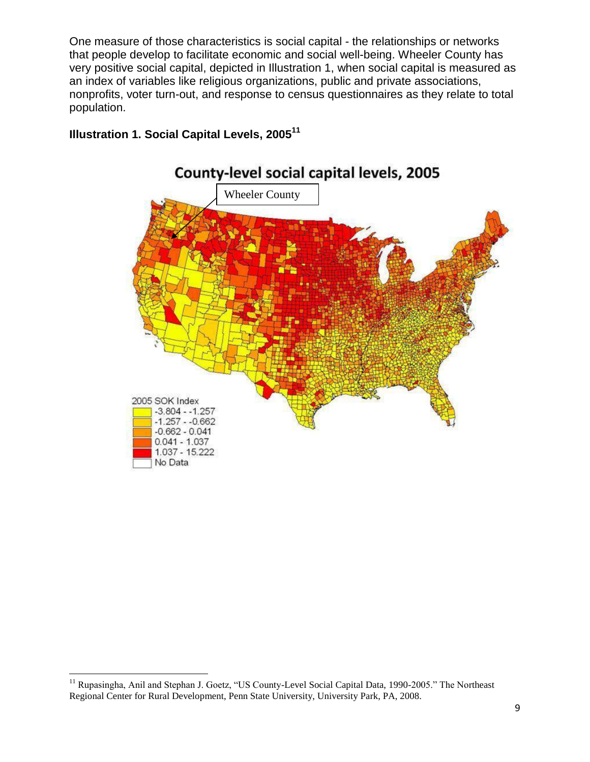One measure of those characteristics is social capital - the relationships or networks that people develop to facilitate economic and social well-being. Wheeler County has very positive social capital, depicted in Illustration 1, when social capital is measured as an index of variables like religious organizations, public and private associations, nonprofits, voter turn-out, and response to census questionnaires as they relate to total population.



# **Illustration 1. Social Capital Levels, 2005<sup>11</sup>**

<sup>&</sup>lt;sup>11</sup> Rupasingha, Anil and Stephan J. Goetz, "US County-Level Social Capital Data, 1990-2005." The Northeast Regional Center for Rural Development, Penn State University, University Park, PA, 2008.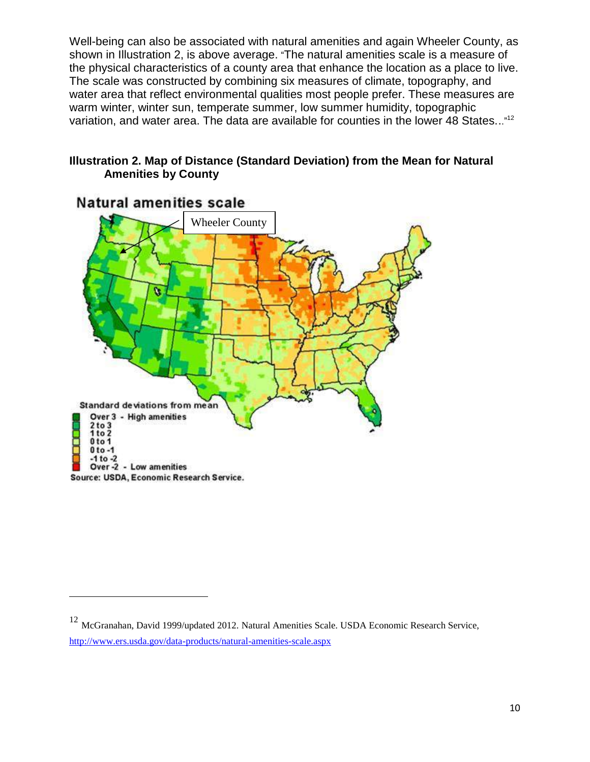Well-being can also be associated with natural amenities and again Wheeler County, as shown in Illustration 2, is above average. "The natural amenities scale is a measure of the physical characteristics of a county area that enhance the location as a place to live. The scale was constructed by combining six measures of climate, topography, and water area that reflect environmental qualities most people prefer. These measures are warm winter, winter sun, temperate summer, low summer humidity, topographic variation, and water area. The data are available for counties in the lower 48 States..."<sup>12</sup>

#### **Illustration 2. Map of Distance (Standard Deviation) from the Mean for Natural Amenities by County**



# Natural amenities scale

<sup>12</sup> McGranahan, David 1999/updated 2012. Natural Amenities Scale. USDA Economic Research Service, <http://www.ers.usda.gov/data-products/natural-amenities-scale.aspx>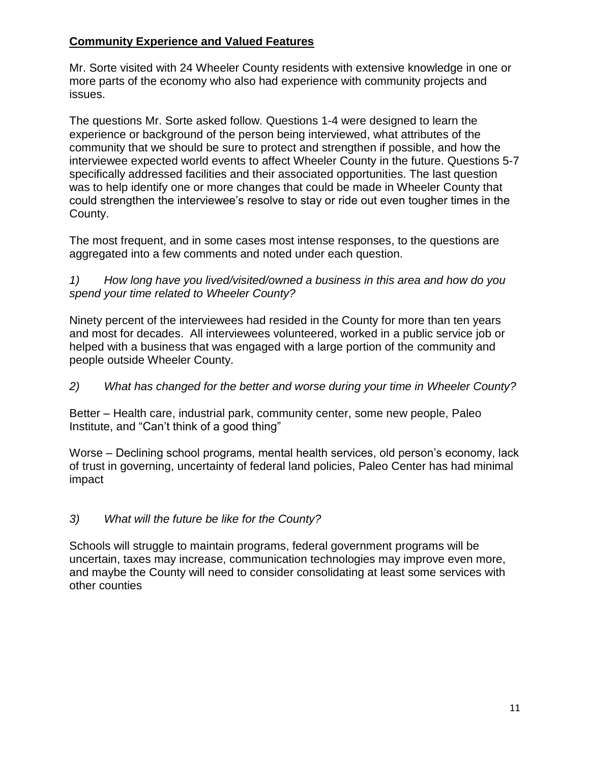# **Community Experience and Valued Features**

Mr. Sorte visited with 24 Wheeler County residents with extensive knowledge in one or more parts of the economy who also had experience with community projects and issues.

The questions Mr. Sorte asked follow. Questions 1-4 were designed to learn the experience or background of the person being interviewed, what attributes of the community that we should be sure to protect and strengthen if possible, and how the interviewee expected world events to affect Wheeler County in the future. Questions 5-7 specifically addressed facilities and their associated opportunities. The last question was to help identify one or more changes that could be made in Wheeler County that could strengthen the interviewee's resolve to stay or ride out even tougher times in the County.

The most frequent, and in some cases most intense responses, to the questions are aggregated into a few comments and noted under each question.

1) How long have you lived/visited/owned a business in this area and how do you spend your time related to Wheeler County?

Ninety percent of the interviewees had resided in the County for more than ten years and most for decades. All interviewees volunteered, worked in a public service job or helped with a business that was engaged with a large portion of the community and people outside Wheeler County.

2) What has changed for the better and worse during your time in Wheeler County?

Better – Health care, industrial park, community center, some new people, Paleo Institute, and "Can't think of a good thing"

Worse – Declining school programs, mental health services, old person's economy, lack of trust in governing, uncertainty of federal land policies, Paleo Center has had minimal impact

# 3) What will the future be like for the County?

Schools will struggle to maintain programs, federal government programs will be uncertain, taxes may increase, communication technologies may improve even more, and maybe the County will need to consider consolidating at least some services with other counties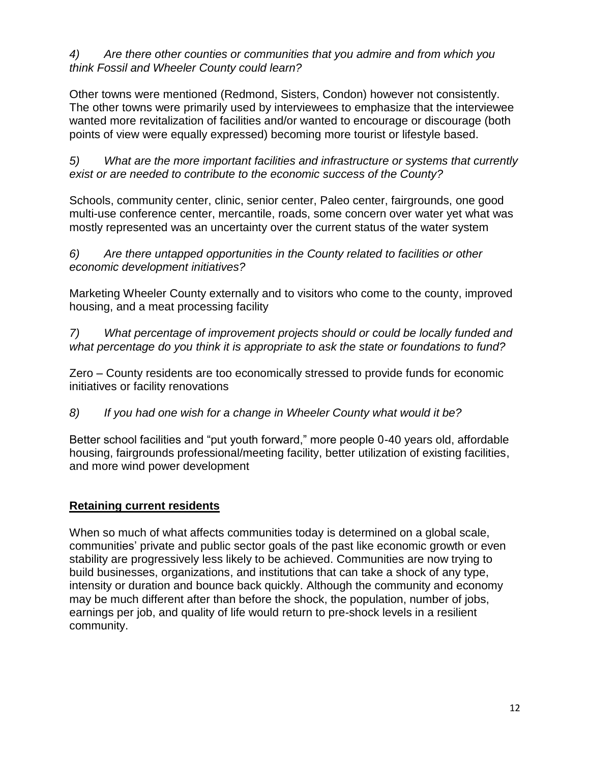4) Are there other counties or communities that you admire and from which you think Fossil and Wheeler County could learn?

Other towns were mentioned (Redmond, Sisters, Condon) however not consistently. The other towns were primarily used by interviewees to emphasize that the interviewee wanted more revitalization of facilities and/or wanted to encourage or discourage (both points of view were equally expressed) becoming more tourist or lifestyle based.

5) What are the more important facilities and infrastructure or systems that currently exist or are needed to contribute to the economic success of the County?

Schools, community center, clinic, senior center, Paleo center, fairgrounds, one good multi-use conference center, mercantile, roads, some concern over water yet what was mostly represented was an uncertainty over the current status of the water system

6) Are there untapped opportunities in the County related to facilities or other economic development initiatives?

Marketing Wheeler County externally and to visitors who come to the county, improved housing, and a meat processing facility

7) What percentage of improvement projects should or could be locally funded and what percentage do you think it is appropriate to ask the state or foundations to fund?

Zero – County residents are too economically stressed to provide funds for economic initiatives or facility renovations

8) If you had one wish for a change in Wheeler County what would it be?

Better school facilities and "put youth forward," more people 0-40 years old, affordable housing, fairgrounds professional/meeting facility, better utilization of existing facilities, and more wind power development

## **Retaining current residents**

When so much of what affects communities today is determined on a global scale, communities' private and public sector goals of the past like economic growth or even stability are progressively less likely to be achieved. Communities are now trying to build businesses, organizations, and institutions that can take a shock of any type, intensity or duration and bounce back quickly. Although the community and economy may be much different after than before the shock, the population, number of jobs, earnings per job, and quality of life would return to pre-shock levels in a resilient community.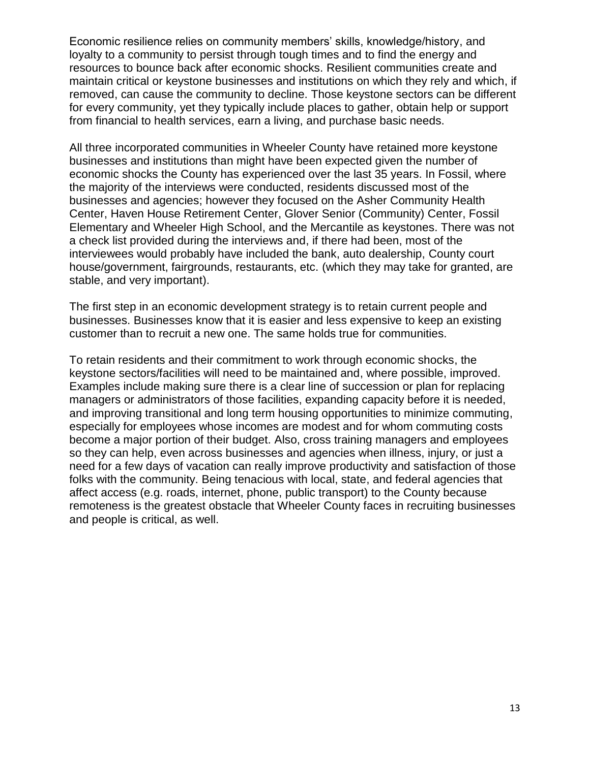Economic resilience relies on community members' skills, knowledge/history, and loyalty to a community to persist through tough times and to find the energy and resources to bounce back after economic shocks. Resilient communities create and maintain critical or keystone businesses and institutions on which they rely and which, if removed, can cause the community to decline. Those keystone sectors can be different for every community, yet they typically include places to gather, obtain help or support from financial to health services, earn a living, and purchase basic needs.

All three incorporated communities in Wheeler County have retained more keystone businesses and institutions than might have been expected given the number of economic shocks the County has experienced over the last 35 years. In Fossil, where the majority of the interviews were conducted, residents discussed most of the businesses and agencies; however they focused on the Asher Community Health Center, Haven House Retirement Center, Glover Senior (Community) Center, Fossil Elementary and Wheeler High School, and the Mercantile as keystones. There was not a check list provided during the interviews and, if there had been, most of the interviewees would probably have included the bank, auto dealership, County court house/government, fairgrounds, restaurants, etc. (which they may take for granted, are stable, and very important).

The first step in an economic development strategy is to retain current people and businesses. Businesses know that it is easier and less expensive to keep an existing customer than to recruit a new one. The same holds true for communities.

To retain residents and their commitment to work through economic shocks, the keystone sectors/facilities will need to be maintained and, where possible, improved. Examples include making sure there is a clear line of succession or plan for replacing managers or administrators of those facilities, expanding capacity before it is needed, and improving transitional and long term housing opportunities to minimize commuting, especially for employees whose incomes are modest and for whom commuting costs become a major portion of their budget. Also, cross training managers and employees so they can help, even across businesses and agencies when illness, injury, or just a need for a few days of vacation can really improve productivity and satisfaction of those folks with the community. Being tenacious with local, state, and federal agencies that affect access (e.g. roads, internet, phone, public transport) to the County because remoteness is the greatest obstacle that Wheeler County faces in recruiting businesses and people is critical, as well.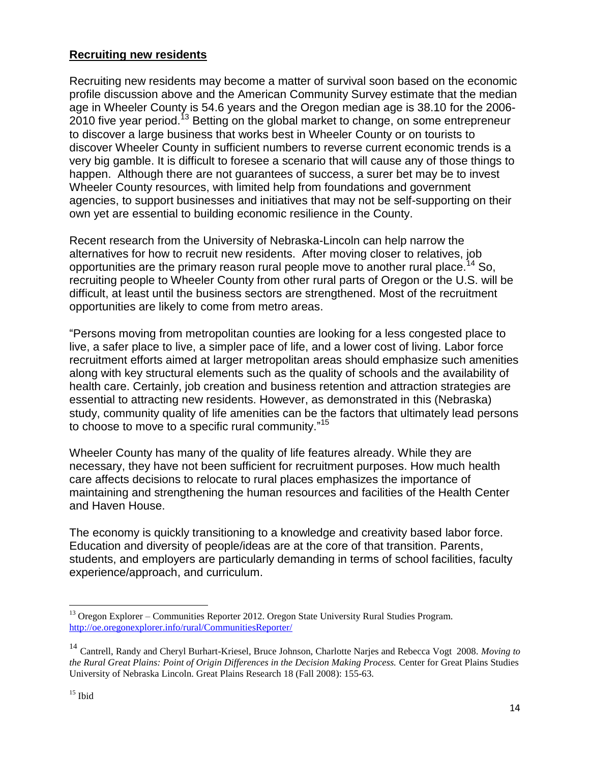#### **Recruiting new residents**

Recruiting new residents may become a matter of survival soon based on the economic profile discussion above and the American Community Survey estimate that the median age in Wheeler County is 54.6 years and the Oregon median age is 38.10 for the 2006- 2010 five year period.<sup>13</sup> Betting on the global market to change, on some entrepreneur to discover a large business that works best in Wheeler County or on tourists to discover Wheeler County in sufficient numbers to reverse current economic trends is a very big gamble. It is difficult to foresee a scenario that will cause any of those things to happen. Although there are not guarantees of success, a surer bet may be to invest Wheeler County resources, with limited help from foundations and government agencies, to support businesses and initiatives that may not be self-supporting on their own yet are essential to building economic resilience in the County.

Recent research from the University of Nebraska-Lincoln can help narrow the alternatives for how to recruit new residents. After moving closer to relatives, job opportunities are the primary reason rural people move to another rural place.<sup>14</sup> So, recruiting people to Wheeler County from other rural parts of Oregon or the U.S. will be difficult, at least until the business sectors are strengthened. Most of the recruitment opportunities are likely to come from metro areas.

"Persons moving from metropolitan counties are looking for a less congested place to live, a safer place to live, a simpler pace of life, and a lower cost of living. Labor force recruitment efforts aimed at larger metropolitan areas should emphasize such amenities along with key structural elements such as the quality of schools and the availability of health care. Certainly, job creation and business retention and attraction strategies are essential to attracting new residents. However, as demonstrated in this (Nebraska) study, community quality of life amenities can be the factors that ultimately lead persons to choose to move to a specific rural community." 15

Wheeler County has many of the quality of life features already. While they are necessary, they have not been sufficient for recruitment purposes. How much health care affects decisions to relocate to rural places emphasizes the importance of maintaining and strengthening the human resources and facilities of the Health Center and Haven House.

The economy is quickly transitioning to a knowledge and creativity based labor force. Education and diversity of people/ideas are at the core of that transition. Parents, students, and employers are particularly demanding in terms of school facilities, faculty experience/approach, and curriculum.

 $\overline{a}$ <sup>13</sup> Oregon Explorer – Communities Reporter 2012. Oregon State University Rural Studies Program. <http://oe.oregonexplorer.info/rural/CommunitiesReporter/>

<sup>14</sup> Cantrell, Randy and Cheryl Burhart-Kriesel, Bruce Johnson, Charlotte Narjes and Rebecca Vogt 2008. *Moving to the Rural Great Plains: Point of Origin Differences in the Decision Making Process.* Center for Great Plains Studies University of Nebraska Lincoln. Great Plains Research 18 (Fall 2008): 155-63.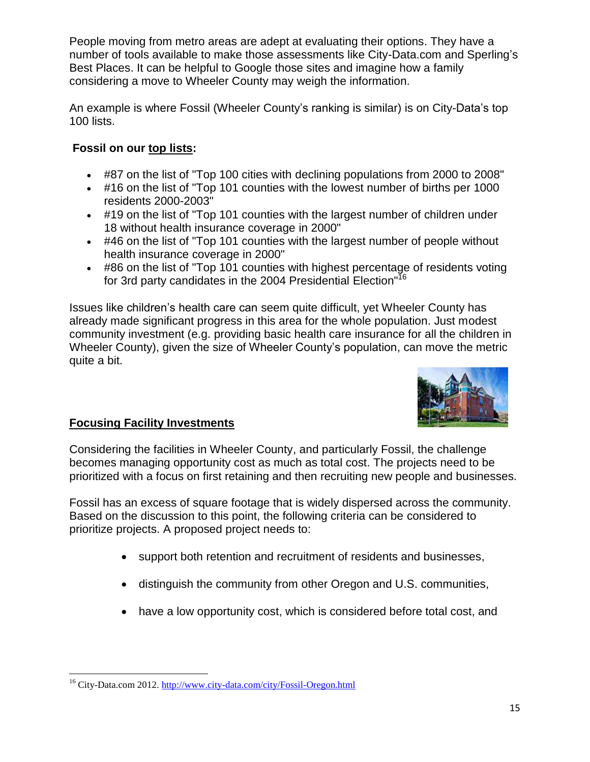People moving from metro areas are adept at evaluating their options. They have a number of tools available to make those assessments like City-Data.com and Sperling's Best Places. It can be helpful to Google those sites and imagine how a family considering a move to Wheeler County may weigh the information.

An example is where Fossil (Wheeler County's ranking is similar) is on City-Data's top 100 lists.

# **Fossil on our [top lists:](http://www.city-data.com/top2/toplists2.html)**

- #87 on the list of "Top 100 cities with declining populations from 2000 to 2008"
- #16 on the list of "Top 101 counties with the lowest number of births per 1000 residents 2000-2003"
- #19 on the list of "Top 101 counties with the largest number of children under 18 without health insurance coverage in 2000"
- #46 on the list of "Top 101 counties with the largest number of people without health insurance coverage in 2000"
- #86 on the list of "Top 101 counties with highest percentage of residents voting for 3rd party candidates in the 2004 Presidential Election<sup>"16</sup>

Issues like children's health care can seem quite difficult, yet Wheeler County has already made significant progress in this area for the whole population. Just modest community investment (e.g. providing basic health care insurance for all the children in Wheeler County), given the size of Wheeler County's population, can move the metric quite a bit.



# **Focusing Facility Investments**

Considering the facilities in Wheeler County, and particularly Fossil, the challenge becomes managing opportunity cost as much as total cost. The projects need to be prioritized with a focus on first retaining and then recruiting new people and businesses.

Fossil has an excess of square footage that is widely dispersed across the community. Based on the discussion to this point, the following criteria can be considered to prioritize projects. A proposed project needs to:

- support both retention and recruitment of residents and businesses,
- distinguish the community from other Oregon and U.S. communities,
- have a low opportunity cost, which is considered before total cost, and

 $\overline{a}$ <sup>16</sup> City-Data.com 2012[. http://www.city-data.com/city/Fossil-Oregon.html](http://www.city-data.com/city/Fossil-Oregon.html)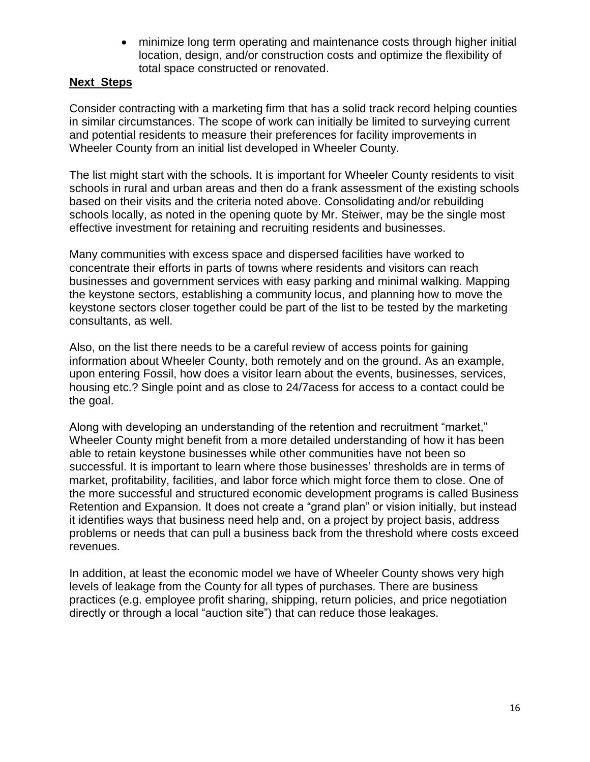minimize long term operating and maintenance costs through higher initial location, design, and/or construction costs and optimize the flexibility of total space constructed or renovated.

#### **Next Steps**

Consider contracting with a marketing firm that has a solid track record helping counties in similar circumstances. The scope of work can initially be limited to surveying current and potential residents to measure their preferences for facility improvements in Wheeler County from an initial list developed in Wheeler County.

The list might start with the schools. It is important for Wheeler County residents to visit schools in rural and urban areas and then do a frank assessment of the existing schools based on their visits and the criteria noted above. Consolidating and/or rebuilding schools locally, as noted in the opening quote by Mr. Steiwer, may be the single most effective investment for retaining and recruiting residents and businesses.

Many communities with excess space and dispersed facilities have worked to concentrate their efforts in parts of towns where residents and visitors can reach businesses and government services with easy parking and minimal walking. Mapping the keystone sectors, establishing a community locus, and planning how to move the keystone sectors closer together could be part of the list to be tested by the marketing consultants, as well.

Also, on the list there needs to be a careful review of access points for gaining information about Wheeler County, both remotely and on the ground. As an example, upon entering Fossil, how does a visitor learn about the events, businesses, services, housing etc.? Single point and as close to 24/7acess for access to a contact could be the goal.

Along with developing an understanding of the retention and recruitment "market," Wheeler County might benefit from a more detailed understanding of how it has been able to retain keystone businesses while other communities have not been so successful. It is important to learn where those businesses' thresholds are in terms of market, profitability, facilities, and labor force which might force them to close. One of the more successful and structured economic development programs is called Business Retention and Expansion. It does not create a "grand plan" or vision initially, but instead it identifies ways that business need help and, on a project by project basis, address problems or needs that can pull a business back from the threshold where costs exceed revenues.

In addition, at least the economic model we have of Wheeler County shows very high levels of leakage from the County for all types of purchases. There are business practices (e.g. employee profit sharing, shipping, return policies, and price negotiation directly or through a local "auction site") that can reduce those leakages.